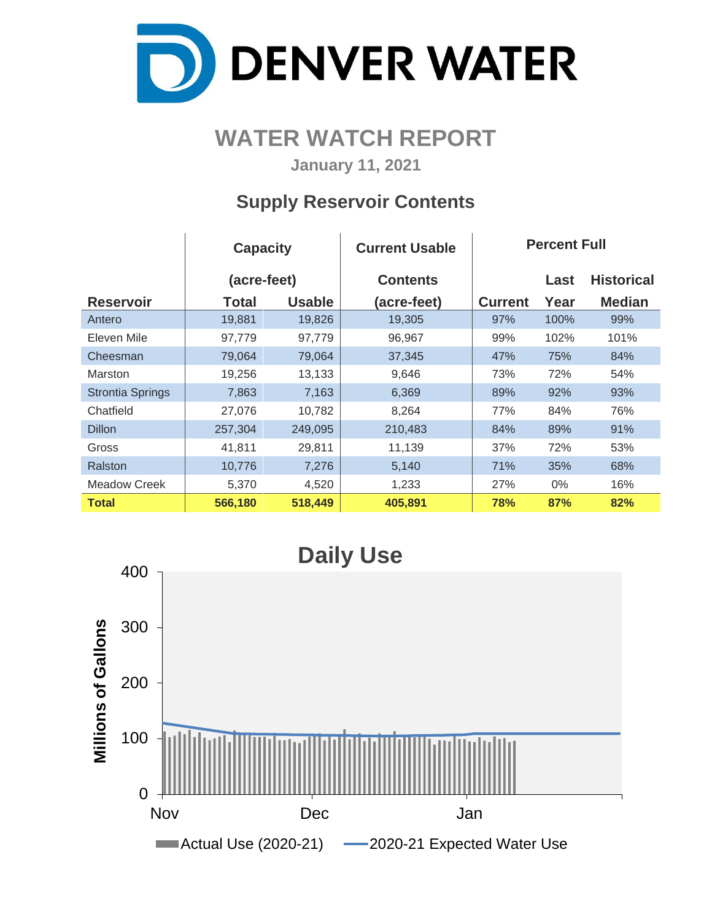

# **WATER WATCH REPORT**

**January 11, 2021**

# **Supply Reservoir Contents**

|                         | <b>Capacity</b> |               | <b>Current Usable</b> | <b>Percent Full</b> |       |                   |  |  |  |  |
|-------------------------|-----------------|---------------|-----------------------|---------------------|-------|-------------------|--|--|--|--|
|                         | (acre-feet)     |               | <b>Contents</b>       |                     | Last  | <b>Historical</b> |  |  |  |  |
| <b>Reservoir</b>        | Total           | <b>Usable</b> | (acre-feet)           | <b>Current</b>      | Year  | <b>Median</b>     |  |  |  |  |
| Antero                  | 19,881          | 19,826        | 19,305                | 97%                 | 100%  | 99%               |  |  |  |  |
| Eleven Mile             | 97,779          | 97,779        | 96,967                | 99%                 | 102%  | 101%              |  |  |  |  |
| Cheesman                | 79,064          | 79,064        | 37,345                | 47%                 | 75%   | 84%               |  |  |  |  |
| <b>Marston</b>          | 19,256          | 13,133        | 9,646                 | 73%                 | 72%   | 54%               |  |  |  |  |
| <b>Strontia Springs</b> | 7,863           | 7,163         | 6,369                 | 89%                 | 92%   | 93%               |  |  |  |  |
| Chatfield               | 27,076          | 10,782        | 8,264                 | 77%                 | 84%   | 76%               |  |  |  |  |
| <b>Dillon</b>           | 257,304         | 249,095       | 210,483               | 84%                 | 89%   | 91%               |  |  |  |  |
| Gross                   | 41,811          | 29,811        | 11,139                | 37%                 | 72%   | 53%               |  |  |  |  |
| Ralston                 | 10,776          | 7,276         | 5,140                 | 71%                 | 35%   | 68%               |  |  |  |  |
| Meadow Creek            | 5,370           | 4,520         | 1,233                 | 27%                 | $0\%$ | 16%               |  |  |  |  |
| <b>Total</b>            | 566,180         | 518,449       | 405,891               | 78%                 | 87%   | 82%               |  |  |  |  |

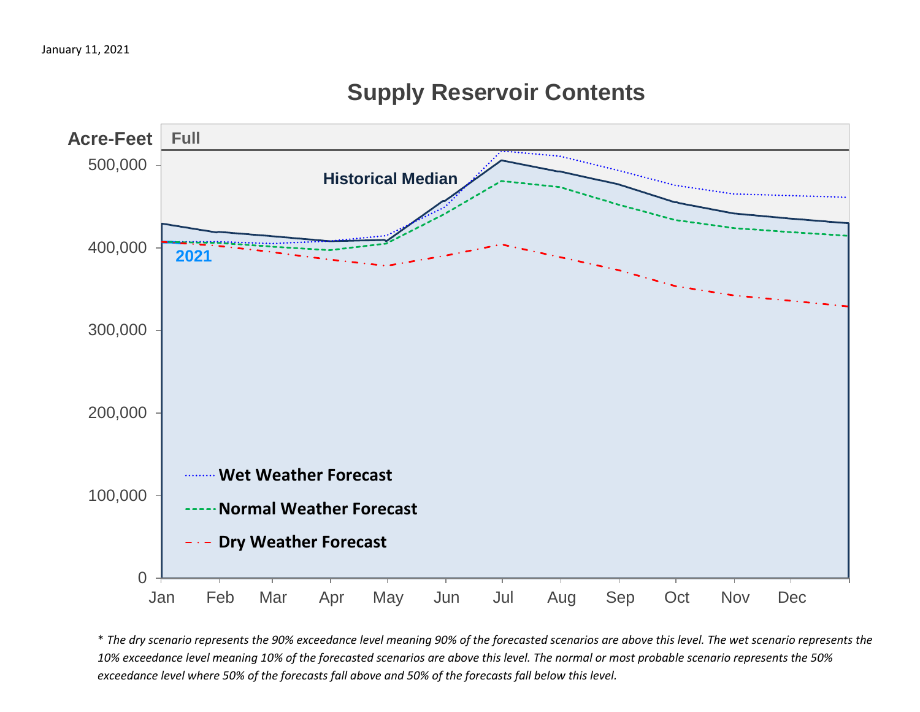# **Supply Reservoir Contents**



\* *The dry scenario represents the 90% exceedance level meaning 90% of the forecasted scenarios are above this level. The wet scenario represents the 10% exceedance level meaning 10% of the forecasted scenarios are above this level. The normal or most probable scenario represents the 50% exceedance level where 50% of the forecasts fall above and 50% of the forecasts fall below this level.*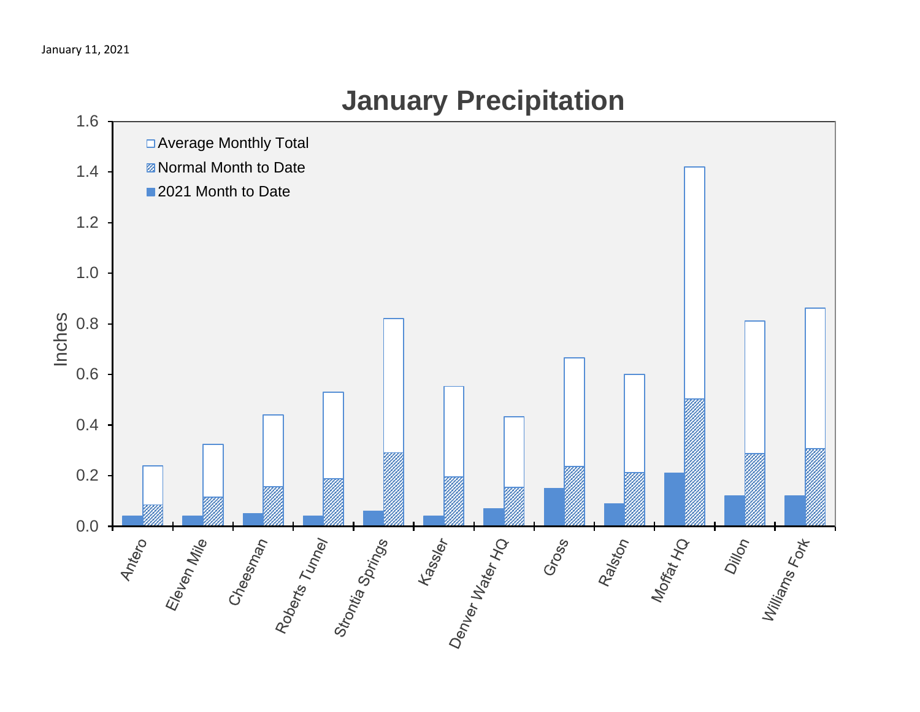

# **January Precipitation**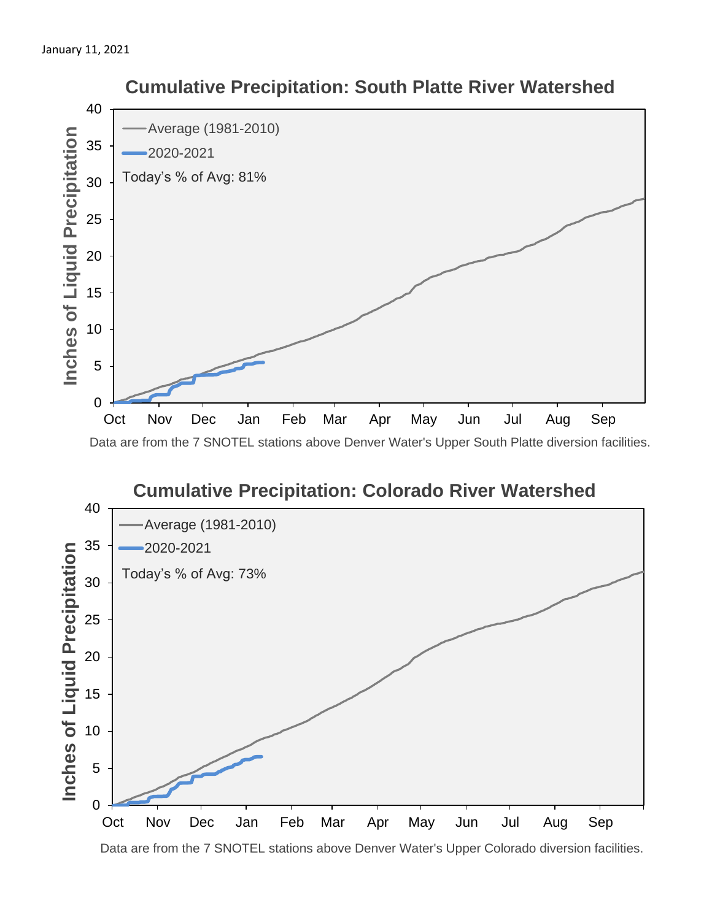



Data are from the 7 SNOTEL stations above Denver Water's Upper Colorado diversion facilities.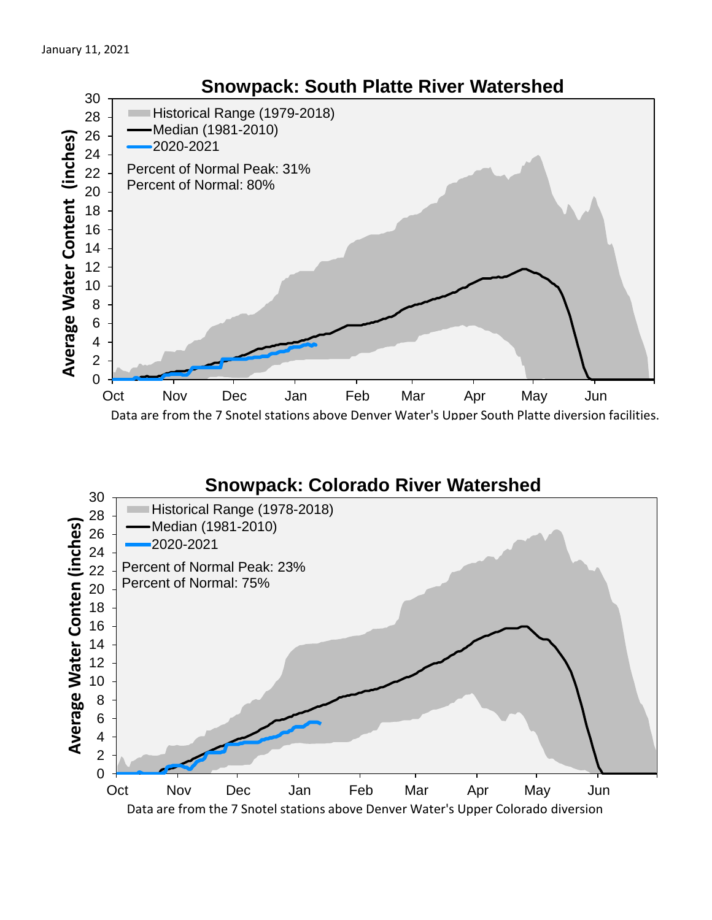

## **Snowpack: Colorado River Watershed**

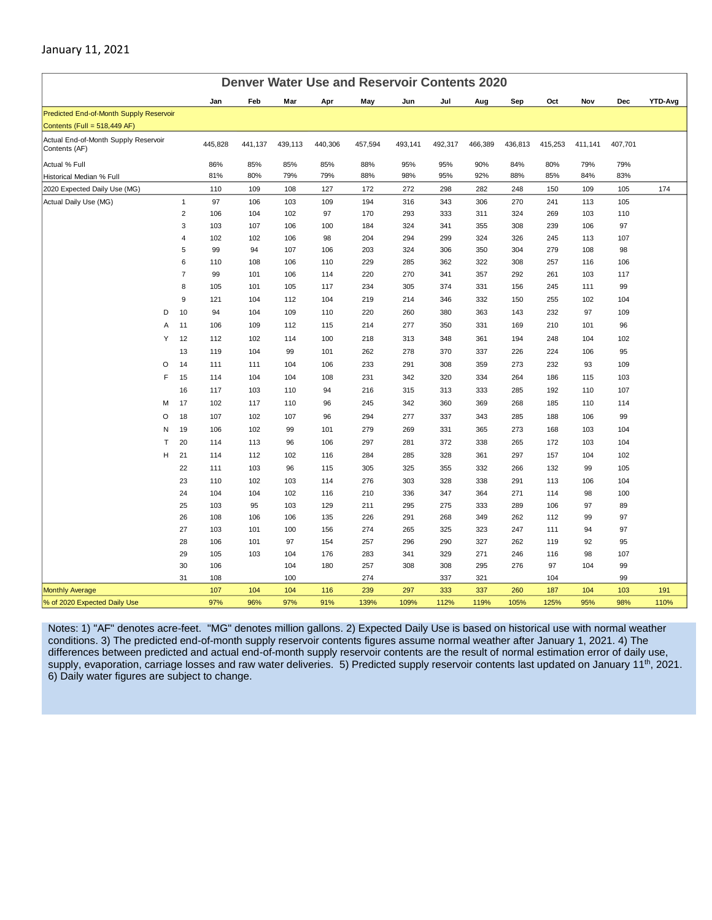### January 11, 2021

| <b>Denver Water Use and Reservoir Contents 2020</b>   |   |                         |            |            |           |            |            |            |            |            |            |            |          |          |                |
|-------------------------------------------------------|---|-------------------------|------------|------------|-----------|------------|------------|------------|------------|------------|------------|------------|----------|----------|----------------|
|                                                       |   |                         | Jan        | Feb        | Mar       | Apr        | May        | Jun        | Jul        | Aug        | Sep        | Oct        | Nov      | Dec      | <b>YTD-Avg</b> |
| Predicted End-of-Month Supply Reservoir               |   |                         |            |            |           |            |            |            |            |            |            |            |          |          |                |
| Contents (Full = 518,449 AF)                          |   |                         |            |            |           |            |            |            |            |            |            |            |          |          |                |
| Actual End-of-Month Supply Reservoir<br>Contents (AF) |   |                         | 445,828    | 441,137    | 439,113   | 440,306    | 457,594    | 493,141    | 492,317    | 466,389    | 436,813    | 415,253    | 411,141  | 407,701  |                |
| Actual % Full                                         |   |                         | 86%        | 85%        | 85%       | 85%        | 88%        | 95%        | 95%        | 90%        | 84%        | 80%        | 79%      | 79%      |                |
| Historical Median % Full                              |   |                         | 81%        | 80%        | 79%       | 79%        | 88%        | 98%        | 95%        | 92%        | 88%        | 85%        | 84%      | 83%      |                |
| 2020 Expected Daily Use (MG)                          |   |                         | 110        | 109        | 108       | 127        | 172        | 272        | 298        | 282        | 248        | 150        | 109      | 105      | 174            |
| Actual Daily Use (MG)                                 |   | $\mathbf{1}$            | 97         | 106        | 103       | 109        | 194        | 316        | 343        | 306        | 270        | 241        | 113      | 105      |                |
|                                                       |   | $\overline{2}$          | 106        | 104        | 102       | 97         | 170        | 293        | 333        | 311        | 324        | 269        | 103      | 110      |                |
|                                                       |   | 3                       | 103        | 107        | 106       | 100        | 184        | 324        | 341        | 355        | 308        | 239        | 106      | 97       |                |
|                                                       |   | $\overline{\mathbf{4}}$ | 102        | 102        | 106       | 98         | 204        | 294        | 299        | 324        | 326        | 245        | 113      | 107      |                |
|                                                       |   | 5                       | 99         | 94         | 107       | 106        | 203        | 324        | 306        | 350        | 304        | 279        | 108      | 98       |                |
|                                                       |   | 6                       | 110        | 108        | 106       | 110        | 229        | 285        | 362        | 322        | 308        | 257        | 116      | 106      |                |
|                                                       |   | $\overline{7}$          | 99         | 101        | 106       | 114        | 220        | 270        | 341        | 357        | 292        | 261        | 103      | 117      |                |
|                                                       |   | 8                       | 105        | 101        | 105       | 117        | 234        | 305        | 374        | 331        | 156        | 245        | 111      | 99       |                |
|                                                       |   | $\boldsymbol{9}$        | 121        | 104        | 112       | 104        | 219        | 214        | 346        | 332        | 150        | 255        | 102      | 104      |                |
|                                                       | D | 10                      | 94         | 104        | 109       | 110        | 220        | 260        | 380        | 363        | 143        | 232        | 97       | 109      |                |
|                                                       | Α | 11                      | 106        | 109        | 112       | 115        | 214        | 277        | 350        | 331        | 169        | 210        | 101      | 96       |                |
|                                                       | Y | 12                      | 112        | 102        | 114       | 100        | 218        | 313        | 348        | 361        | 194        | 248        | 104      | 102      |                |
|                                                       |   | 13                      | 119        | 104        | 99        | 101        | 262        | 278        | 370        | 337        | 226        | 224        | 106      | 95       |                |
|                                                       | O | 14                      | 111        | 111        | 104       | 106        | 233        | 291        | 308        | 359        | 273        | 232        | 93       | 109      |                |
|                                                       | F | 15                      | 114        | 104        | 104       | 108        | 231        | 342        | 320        | 334        | 264        | 186        | 115      | 103      |                |
|                                                       |   | 16                      | 117        | 103        | 110       | 94         | 216        | 315        | 313        | 333        | 285        | 192        | 110      | 107      |                |
|                                                       | M | 17                      | 102        | 117        | 110       | 96         | 245        | 342        | 360        | 369        | 268        | 185        | 110      | 114      |                |
|                                                       | O | 18                      | 107        | 102        | 107       | 96         | 294        | 277        | 337        | 343        | 285        | 188        | 106      | 99       |                |
|                                                       | N | 19                      | 106        | 102        | 99        | 101        | 279        | 269        | 331        | 365        | 273        | 168        | 103      | 104      |                |
|                                                       | T | 20                      | 114        | 113        | 96        | 106        | 297        | 281        | 372        | 338        | 265        | 172        | 103      | 104      |                |
|                                                       | Н | 21                      | 114        | 112        | 102       | 116        | 284        | 285        | 328        | 361        | 297        | 157        | 104      | 102      |                |
|                                                       |   | 22                      | 111        | 103        | 96        | 115        | 305        | 325        | 355        | 332        | 266        | 132        | 99       | 105      |                |
|                                                       |   | 23                      | 110        | 102        | 103       | 114        | 276        | 303        | 328        | 338        | 291        | 113        | 106      | 104      |                |
|                                                       |   | 24                      | 104        | 104        | 102       | 116        | 210        | 336        | 347        | 364        | 271        | 114        | 98       | 100      |                |
|                                                       |   | 25                      | 103        | 95         | 103       | 129        | 211        | 295        | 275        | 333        | 289        | 106        | 97       | 89       |                |
|                                                       |   | 26                      | 108        | 106        | 106       | 135        | 226        | 291        | 268        | 349        | 262        | 112        | 99       | 97       |                |
|                                                       |   | 27<br>28                | 103<br>106 | 101<br>101 | 100       | 156<br>154 | 274<br>257 | 265<br>296 | 325<br>290 | 323<br>327 | 247<br>262 | 111<br>119 | 94<br>92 | 97<br>95 |                |
|                                                       |   | 29                      | 105        | 103        | 97<br>104 | 176        | 283        | 341        | 329        | 271        | 246        | 116        | 98       | 107      |                |
|                                                       |   | 30                      | 106        |            | 104       | 180        | 257        | 308        | 308        | 295        | 276        | 97         | 104      | 99       |                |
|                                                       |   | 31                      | 108        |            | 100       |            | 274        |            | 337        | 321        |            | 104        |          | 99       |                |
| <b>Monthly Average</b>                                |   |                         | 107        | 104        | 104       | 116        | 239        | 297        | 333        | 337        | 260        | 187        | 104      | 103      | 191            |
| % of 2020 Expected Daily Use                          |   |                         | 97%        | 96%        | 97%       | 91%        | 139%       | 109%       | 112%       | 119%       | 105%       | 125%       | 95%      | 98%      | 110%           |

Notes: 1) "AF" denotes acre-feet. "MG" denotes million gallons. 2) Expected Daily Use is based on historical use with normal weather conditions. 3) The predicted end-of-month supply reservoir contents figures assume normal weather after January 1, 2021. 4) The differences between predicted and actual end-of-month supply reservoir contents are the result of normal estimation error of daily use, supply, evaporation, carriage losses and raw water deliveries. 5) Predicted supply reservoir contents last updated on January 11<sup>th</sup>, 2021. 6) Daily water figures are subject to change.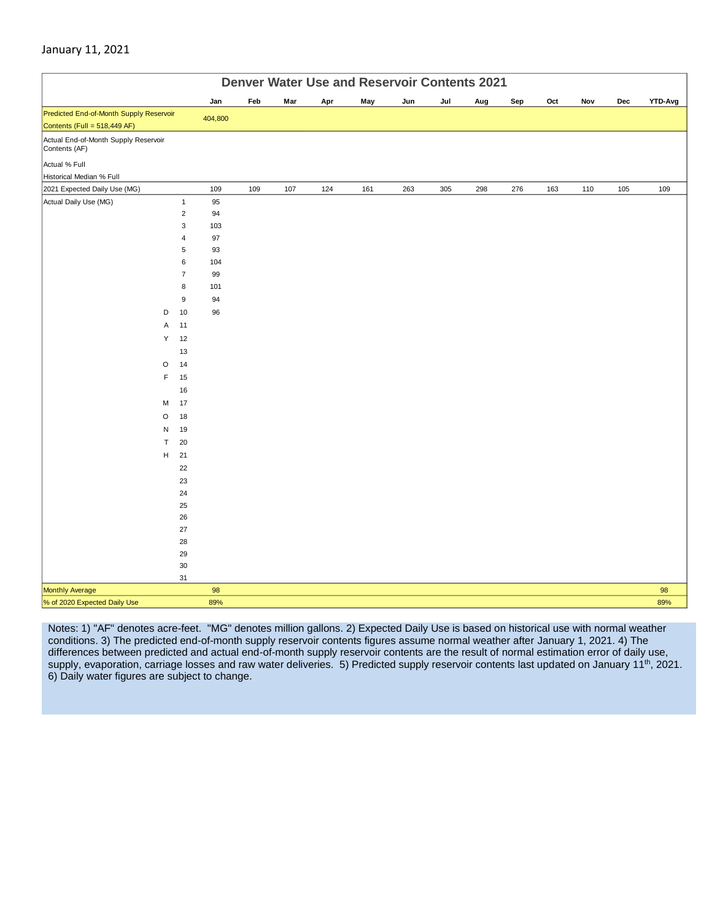#### January 11, 2021

|                                                       | <b>Denver Water Use and Reservoir Contents 2021</b> |           |     |     |     |     |     |     |     |     |     |     |     |         |
|-------------------------------------------------------|-----------------------------------------------------|-----------|-----|-----|-----|-----|-----|-----|-----|-----|-----|-----|-----|---------|
|                                                       |                                                     | Jan       | Feb | Mar | Apr | May | Jun | Jul | Aug | Sep | Oct | Nov | Dec | YTD-Avg |
| Predicted End-of-Month Supply Reservoir               |                                                     | 404,800   |     |     |     |     |     |     |     |     |     |     |     |         |
| Contents (Full = 518,449 AF)                          |                                                     |           |     |     |     |     |     |     |     |     |     |     |     |         |
| Actual End-of-Month Supply Reservoir<br>Contents (AF) |                                                     |           |     |     |     |     |     |     |     |     |     |     |     |         |
| Actual % Full                                         |                                                     |           |     |     |     |     |     |     |     |     |     |     |     |         |
| Historical Median % Full                              |                                                     |           |     |     |     |     |     |     |     |     |     |     |     |         |
| 2021 Expected Daily Use (MG)                          |                                                     | 109       | 109 | 107 | 124 | 161 | 263 | 305 | 298 | 276 | 163 | 110 | 105 | 109     |
| Actual Daily Use (MG)                                 | $\mathbf{1}$                                        | 95        |     |     |     |     |     |     |     |     |     |     |     |         |
|                                                       | $\mathbf 2$                                         | 94        |     |     |     |     |     |     |     |     |     |     |     |         |
|                                                       | $\mathsf 3$                                         | 103       |     |     |     |     |     |     |     |     |     |     |     |         |
|                                                       | $\overline{4}$                                      | 97        |     |     |     |     |     |     |     |     |     |     |     |         |
|                                                       | 5                                                   | 93        |     |     |     |     |     |     |     |     |     |     |     |         |
|                                                       | 6                                                   | 104       |     |     |     |     |     |     |     |     |     |     |     |         |
|                                                       | $\overline{7}$<br>8                                 | 99<br>101 |     |     |     |     |     |     |     |     |     |     |     |         |
|                                                       | $\boldsymbol{9}$                                    | 94        |     |     |     |     |     |     |     |     |     |     |     |         |
| D                                                     | 10                                                  | 96        |     |     |     |     |     |     |     |     |     |     |     |         |
|                                                       | 11                                                  |           |     |     |     |     |     |     |     |     |     |     |     |         |
| Α<br>Υ                                                | 12                                                  |           |     |     |     |     |     |     |     |     |     |     |     |         |
|                                                       |                                                     |           |     |     |     |     |     |     |     |     |     |     |     |         |
|                                                       | 13                                                  |           |     |     |     |     |     |     |     |     |     |     |     |         |
| $\circ$<br>F                                          | 14                                                  |           |     |     |     |     |     |     |     |     |     |     |     |         |
|                                                       | 15                                                  |           |     |     |     |     |     |     |     |     |     |     |     |         |
|                                                       | 16                                                  |           |     |     |     |     |     |     |     |     |     |     |     |         |
| M                                                     | 17                                                  |           |     |     |     |     |     |     |     |     |     |     |     |         |
| $\circ$                                               | 18                                                  |           |     |     |     |     |     |     |     |     |     |     |     |         |
| N                                                     | 19                                                  |           |     |     |     |     |     |     |     |     |     |     |     |         |
| T                                                     | 20                                                  |           |     |     |     |     |     |     |     |     |     |     |     |         |
| н                                                     | 21                                                  |           |     |     |     |     |     |     |     |     |     |     |     |         |
|                                                       | 22                                                  |           |     |     |     |     |     |     |     |     |     |     |     |         |
|                                                       | 23<br>24                                            |           |     |     |     |     |     |     |     |     |     |     |     |         |
|                                                       | 25                                                  |           |     |     |     |     |     |     |     |     |     |     |     |         |
|                                                       | 26                                                  |           |     |     |     |     |     |     |     |     |     |     |     |         |
|                                                       | 27                                                  |           |     |     |     |     |     |     |     |     |     |     |     |         |
|                                                       | ${\bf 28}$                                          |           |     |     |     |     |     |     |     |     |     |     |     |         |
|                                                       | 29                                                  |           |     |     |     |     |     |     |     |     |     |     |     |         |
|                                                       | $30\,$                                              |           |     |     |     |     |     |     |     |     |     |     |     |         |
|                                                       | 31                                                  |           |     |     |     |     |     |     |     |     |     |     |     |         |
| Monthly Average                                       |                                                     | 98        |     |     |     |     |     |     |     |     |     |     |     | 98      |
| % of 2020 Expected Daily Use                          |                                                     | 89%       |     |     |     |     |     |     |     |     |     |     |     | 89%     |

Notes: 1) "AF" denotes acre-feet. "MG" denotes million gallons. 2) Expected Daily Use is based on historical use with normal weather conditions. 3) The predicted end-of-month supply reservoir contents figures assume normal weather after January 1, 2021. 4) The differences between predicted and actual end-of-month supply reservoir contents are the result of normal estimation error of daily use, supply, evaporation, carriage losses and raw water deliveries. 5) Predicted supply reservoir contents last updated on January 11<sup>th</sup>, 2021. 6) Daily water figures are subject to change.